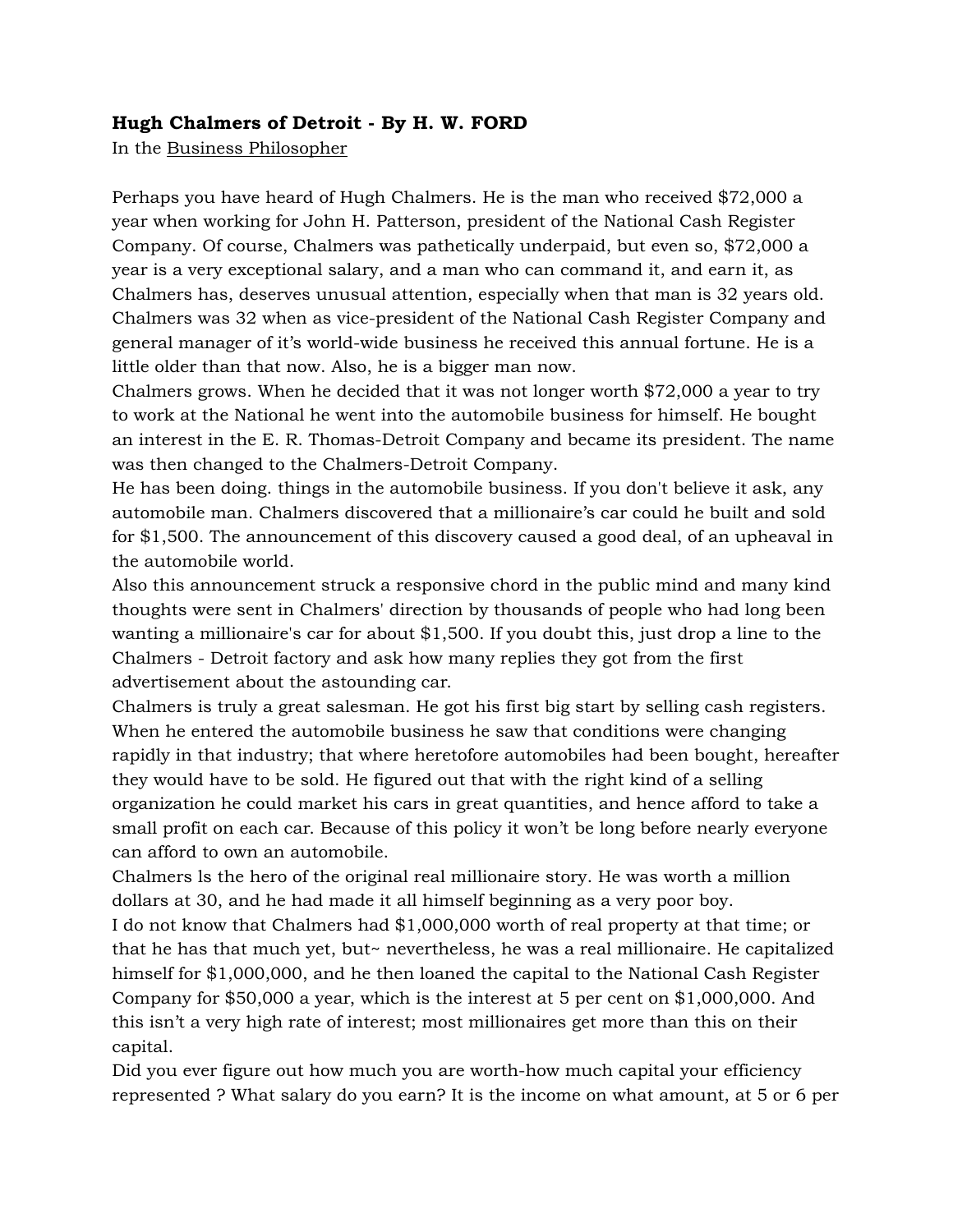## **Hugh Chalmers of Detroit - By H. W. FORD**

In the Business Philosopher

Perhaps you have heard of Hugh Chalmers. He is the man who received \$72,000 a year when working for John H. Patterson, president of the National Cash Register Company. Of course, Chalmers was pathetically underpaid, but even so, \$72,000 a year is a very exceptional salary, and a man who can command it, and earn it, as Chalmers has, deserves unusual attention, especially when that man is 32 years old. Chalmers was 32 when as vice-president of the National Cash Register Company and general manager of it's world-wide business he received this annual fortune. He is a little older than that now. Also, he is a bigger man now.

Chalmers grows. When he decided that it was not longer worth \$72,000 a year to try to work at the National he went into the automobile business for himself. He bought an interest in the E. R. Thomas-Detroit Company and became its president. The name was then changed to the Chalmers-Detroit Company.

He has been doing. things in the automobile business. If you don't believe it ask, any automobile man. Chalmers discovered that a millionaire's car could he built and sold for \$1,500. The announcement of this discovery caused a good deal, of an upheaval in the automobile world.

Also this announcement struck a responsive chord in the public mind and many kind thoughts were sent in Chalmers' direction by thousands of people who had long been wanting a millionaire's car for about \$1,500. If you doubt this, just drop a line to the Chalmers - Detroit factory and ask how many replies they got from the first advertisement about the astounding car.

Chalmers is truly a great salesman. He got his first big start by selling cash registers. When he entered the automobile business he saw that conditions were changing rapidly in that industry; that where heretofore automobiles had been bought, hereafter they would have to be sold. He figured out that with the right kind of a selling organization he could market his cars in great quantities, and hence afford to take a small profit on each car. Because of this policy it won't be long before nearly everyone can afford to own an automobile.

Chalmers ls the hero of the original real millionaire story. He was worth a million dollars at 30, and he had made it all himself beginning as a very poor boy. I do not know that Chalmers had \$1,000,000 worth of real property at that time; or that he has that much yet, but~ nevertheless, he was a real millionaire. He capitalized himself for \$1,000,000, and he then loaned the capital to the National Cash Register Company for \$50,000 a year, which is the interest at 5 per cent on \$1,000,000. And this isn't a very high rate of interest; most millionaires get more than this on their capital.

Did you ever figure out how much you are worth-how much capital your efficiency represented ? What salary do you earn? It is the income on what amount, at 5 or 6 per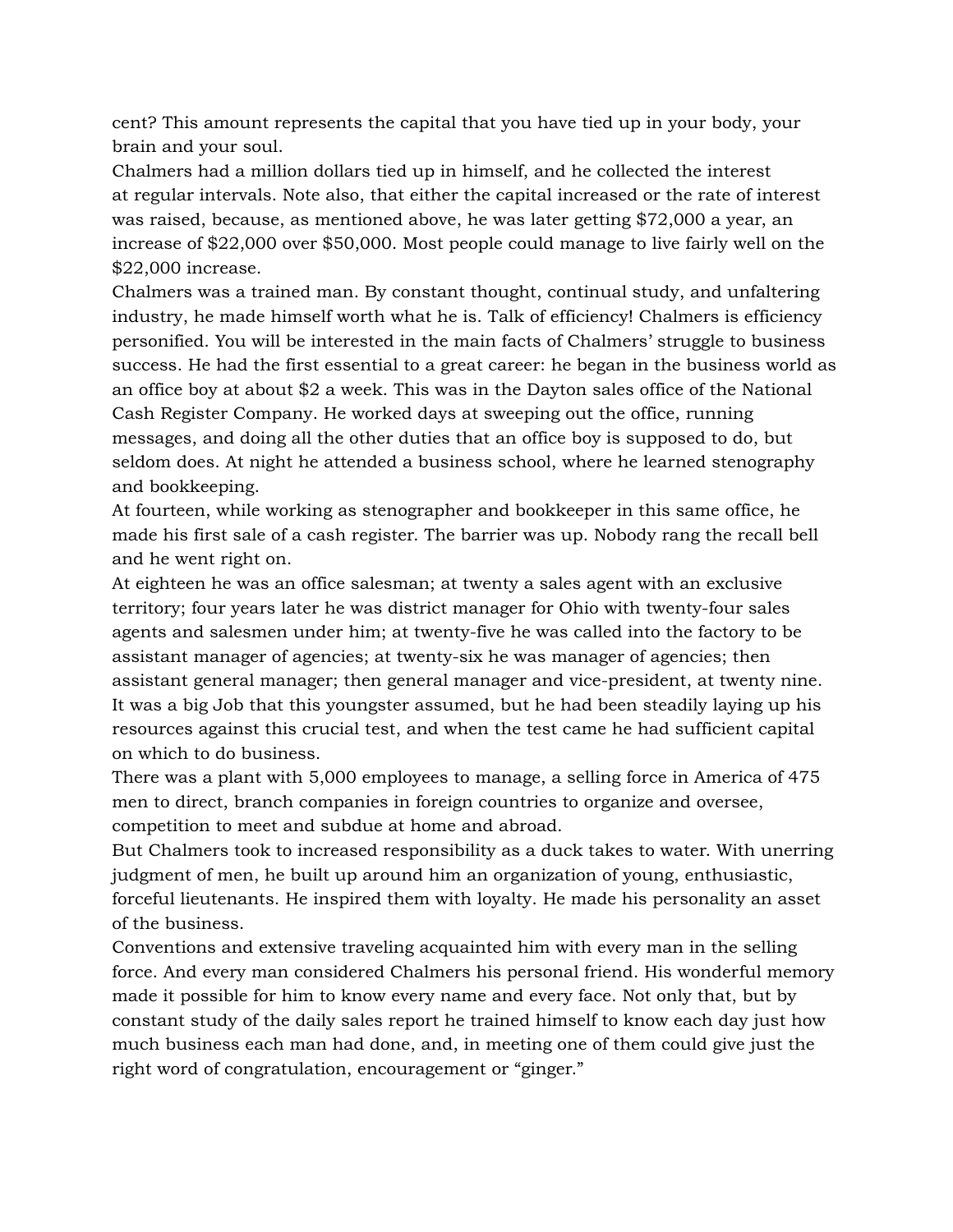cent? This amount represents the capital that you have tied up in your body, your brain and your soul.

Chalmers had a million dollars tied up in himself, and he collected the interest at regular intervals. Note also, that either the capital increased or the rate of interest was raised, because, as mentioned above, he was later getting \$72,000 a year, an increase of \$22,000 over \$50,000. Most people could manage to live fairly well on the \$22,000 increase.

Chalmers was a trained man. By constant thought, continual study, and unfaltering industry, he made himself worth what he is. Talk of efficiency! Chalmers is efficiency personified. You will be interested in the main facts of Chalmers' struggle to business success. He had the first essential to a great career: he began in the business world as an office boy at about \$2 a week. This was in the Dayton sales office of the National Cash Register Company. He worked days at sweeping out the office, running messages, and doing all the other duties that an office boy is supposed to do, but seldom does. At night he attended a business school, where he learned stenography and bookkeeping.

At fourteen, while working as stenographer and bookkeeper in this same office, he made his first sale of a cash register. The barrier was up. Nobody rang the recall bell and he went right on.

At eighteen he was an office salesman; at twenty a sales agent with an exclusive territory; four years later he was district manager for Ohio with twenty-four sales agents and salesmen under him; at twenty-five he was called into the factory to be assistant manager of agencies; at twenty-six he was manager of agencies; then assistant general manager; then general manager and vice-president, at twenty nine. It was a big Job that this youngster assumed, but he had been steadily laying up his resources against this crucial test, and when the test came he had sufficient capital on which to do business.

There was a plant with 5,000 employees to manage, a selling force in America of 475 men to direct, branch companies in foreign countries to organize and oversee, competition to meet and subdue at home and abroad.

But Chalmers took to increased responsibility as a duck takes to water. With unerring judgment of men, he built up around him an organization of young, enthusiastic, forceful lieutenants. He inspired them with loyalty. He made his personality an asset of the business.

Conventions and extensive traveling acquainted him with every man in the selling force. And every man considered Chalmers his personal friend. His wonderful memory made it possible for him to know every name and every face. Not only that, but by constant study of the daily sales report he trained himself to know each day just how much business each man had done, and, in meeting one of them could give just the right word of congratulation, encouragement or "ginger."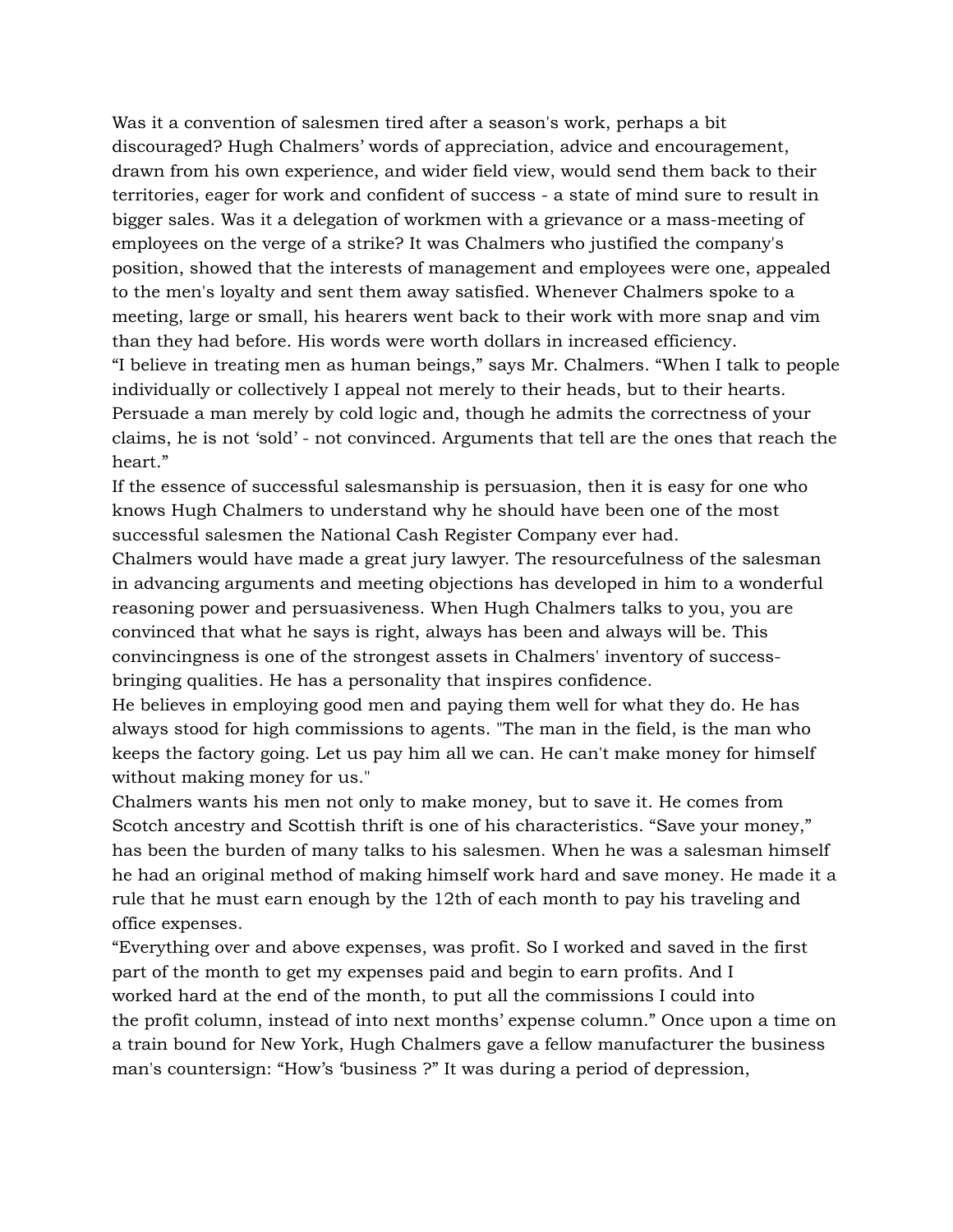Was it a convention of salesmen tired after a season's work, perhaps a bit discouraged? Hugh Chalmers' words of appreciation, advice and encouragement, drawn from his own experience, and wider field view, would send them back to their territories, eager for work and confident of success - a state of mind sure to result in bigger sales. Was it a delegation of workmen with a grievance or a mass-meeting of employees on the verge of a strike? It was Chalmers who justified the company's position, showed that the interests of management and employees were one, appealed to the men's loyalty and sent them away satisfied. Whenever Chalmers spoke to a meeting, large or small, his hearers went back to their work with more snap and vim than they had before. His words were worth dollars in increased efficiency. "I believe in treating men as human beings," says Mr. Chalmers. "When I talk to people individually or collectively I appeal not merely to their heads, but to their hearts. Persuade a man merely by cold logic and, though he admits the correctness of your claims, he is not 'sold' - not convinced. Arguments that tell are the ones that reach the heart."

If the essence of successful salesmanship is persuasion, then it is easy for one who knows Hugh Chalmers to understand why he should have been one of the most successful salesmen the National Cash Register Company ever had.

Chalmers would have made a great jury lawyer. The resourcefulness of the salesman in advancing arguments and meeting objections has developed in him to a wonderful reasoning power and persuasiveness. When Hugh Chalmers talks to you, you are convinced that what he says is right, always has been and always will be. This convincingness is one of the strongest assets in Chalmers' inventory of successbringing qualities. He has a personality that inspires confidence.

He believes in employing good men and paying them well for what they do. He has always stood for high commissions to agents. "The man in the field, is the man who keeps the factory going. Let us pay him all we can. He can't make money for himself without making money for us."

Chalmers wants his men not only to make money, but to save it. He comes from Scotch ancestry and Scottish thrift is one of his characteristics. "Save your money," has been the burden of many talks to his salesmen. When he was a salesman himself he had an original method of making himself work hard and save money. He made it a rule that he must earn enough by the 12th of each month to pay his traveling and office expenses.

"Everything over and above expenses, was profit. So I worked and saved in the first part of the month to get my expenses paid and begin to earn profits. And I worked hard at the end of the month, to put all the commissions I could into the profit column, instead of into next months' expense column." Once upon a time on a train bound for New York, Hugh Chalmers gave a fellow manufacturer the business man's countersign: "How's 'business ?" It was during a period of depression,